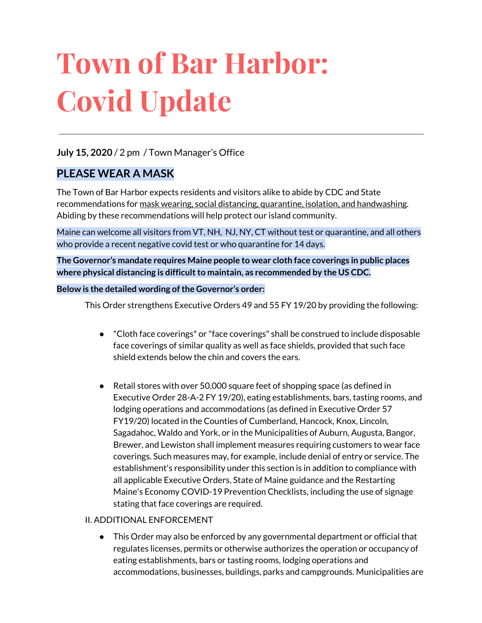# **Town of Bar Harbor: Covid Update**

#### **July 15, 2020** / 2 pm / Town Manager's Office

#### **PLEASE WEAR A MASK**

The Town of Bar Harbor expects residents and visitors alike to abide by CDC and State recommendations for mask wearing, social distancing, quarantine, isolation, and handwashing. Abiding by these recommendations will help protect our island community.

Maine can welcome all visitors from VT, NH, NJ, NY, CT without test or quarantine, and all others who provide a recent negative covid test or who quarantine for 14 days.

**The Governor's mandate requires Maine people to wear cloth face coverings in public places where physical distancing is difficultto maintain, as recommended by the US CDC.**

#### **Below is the detailed wording ofthe Governor's order:**

This Order strengthens Executive Orders 49 and 55 FY 19/20 by providing the following:

- "Cloth face coverings" or "face coverings" shall be construed to include disposable face coverings of similar quality as well as face shields, provided that such face shield extends below the chin and covers the ears.
- Retail stores with over 50,000 square feet of shopping space (as defined in Executive Order 28-A-2 FY 19/20), eating establishments, bars, tasting rooms, and lodging operations and accommodations (as defined in Executive Order 57 FY19/20) located in the Counties of Cumberland, Hancock, Knox, Lincoln, Sagadahoc, Waldo and York, or in the Municipalities of Auburn, Augusta, Bangor, Brewer, and Lewiston shall implement measures requiring customers to wear face coverings. Such measures may, for example, include denial of entry or service. The establishment's responsibility under this section is in addition to compliance with all applicable Executive Orders, State of Maine guidance and the Restarting Maine's Economy COVID-19 Prevention Checklists, including the use of signage stating that face coverings are required.

#### II. ADDITIONAL ENFORCEMENT

● This Order may also be enforced by any governmental department or official that regulates licenses, permits or otherwise authorizes the operation or occupancy of eating establishments, bars or tasting rooms, lodging operations and accommodations, businesses, buildings, parks and campgrounds. Municipalities are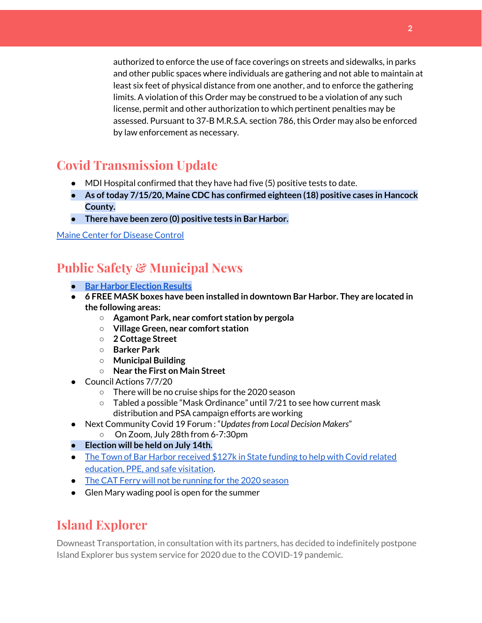authorized to enforce the use of face coverings on streets and sidewalks, in parks and other public spaces where individuals are gathering and not able to maintain at least six feet of physical distance from one another, and to enforce the gathering limits. A violation of this Order may be construed to be a violation of any such license, permit and other authorization to which pertinent penalties may be assessed. Pursuant to 37-B M.R.S.A. section 786, this Order may also be enforced by law enforcement as necessary.

## **Covid Transmission Update**

- MDI Hospital confirmed that they have had five (5) positive tests to date.
- **● As oftoday 7/15/20, Maine CDC has confirmed eighteen (18) positive cases in Hancock County.**
- **● There have been zero (0) positive tests in Bar Harbor.**

#### Maine Center for [Disease](https://www.maine.gov/dhhs/mecdc/infectious-disease/epi/airborne/coronavirus.shtml) Control

## **Public Safety & Municipal News**

- **● Bar Harbor [Election](http://www.barharbormaine.gov/CivicAlerts.aspx?AID=703) Results**
- **● 6 FREE MASK boxes have been installed in downtown Bar Harbor. They are located in the following areas:**
	- **○ Agamont Park, near comfort station by pergola**
	- **○ Village Green, near comfort station**
	- **○ 2 Cottage Street**
	- **○ Barker Park**
	- **○ Municipal Building**
	- **○ Near the First on Main Street**
- Council Actions 7/7/20
	- There will be no cruise ships for the 2020 season
	- Tabled a possible "Mask Ordinance" until 7/21 to see how current mask distribution and PSA campaign efforts are working
- Next Community Covid 19 Forum : "*Updatesfrom Local Decision Makers*"
	- On Zoom, July 28th from 6-7:30pm
- **● Election will be held on July 14th.**
- The Town of Bar Harbor [received](https://www.maine.gov/governor/mills/news/mills-administration-approves-covid-19-prevention-and-protection-grant-awards-municipalities) \$127k in State funding to help with Covid related [education,](https://www.maine.gov/governor/mills/news/mills-administration-approves-covid-19-prevention-and-protection-grant-awards-municipalities) PPE, and safe visitation.
- The CAT Ferry will not be [running](https://www.ferries.ca/) for the 2020 season
- Glen Mary wading pool is open for the summer

## **Island Explorer**

Downeast Transportation, in consultation with its partners, has decided to indefinitely postpone Island Explorer bus system service for 2020 due to the COVID-19 pandemic.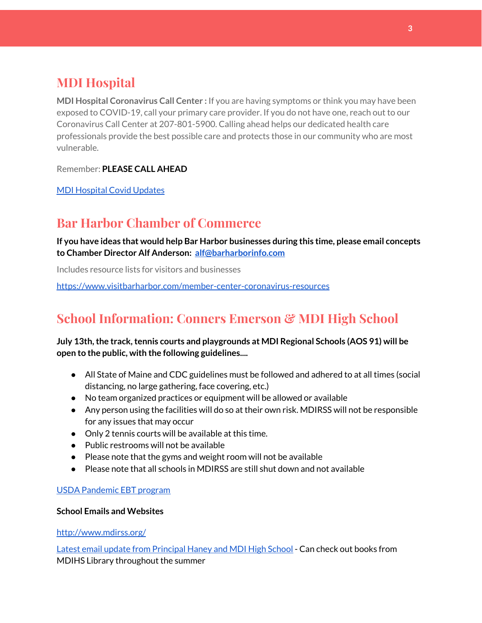# **MDI Hospital**

**MDI Hospital Coronavirus Call Center :** If you are having symptoms or think you may have been exposed to COVID-19, call your primary care provider. If you do not have one, reach out to our Coronavirus Call Center at 207-801-5900. Calling ahead helps our dedicated health care professionals provide the best possible care and protects those in our community who are most vulnerable.

Remember: **PLEASE CALL AHEAD**

MDI [Hospital](https://www.mdihospital.org/covid-19/?fbclid=IwAR2Q31t4a6H1pxDfUeqSzFcmp5UbRlSwe93i58zEkHstfexp5EgoHB5cxGU) Covid Updates

## **Bar Harbor Chamber of Commerce**

**If you have ideas that would help Bar Harbor businesses during this time, please email concepts to Chamber Director Alf Anderson: [alf@barharborinfo.com](mailto:alf@barharborinfo.com)**

Includes resource lists for visitors and businesses

<https://www.visitbarharbor.com/member-center-coronavirus-resources>

# **School Information: Conners Emerson & MDI High School**

#### **July 13th,the track,tennis courts and playgrounds at MDI Regional Schools (AOS 91) will be open to the public, with the following guidelines....**

- All State of Maine and CDC guidelines must be followed and adhered to at all times (social distancing, no large gathering, face covering, etc.)
- No team organized practices or equipment will be allowed or available
- Any person using the facilities will do so at their own risk. MDIRSS will not be responsible for any issues that may occur
- Only 2 tennis courts will be available at this time.
- Public restrooms will not be available
- Please note that the gyms and weight room will not be available
- Please note that all schools in MDIRSS are still shut down and not available

#### USDA [Pandemic](http://track.spe.schoolmessenger.com/f/a/j6GQx4nFl3Rld4Q68tYCuA~~/AAAAAQA~/RgRgu5_JP0SlaHR0cHM6Ly9tYWlsLmdvb2dsZS5jb20vbWFpbC91LzAvP3RhYj1jbSNzZWFyY2gvZnJvbSUzQStiZWVzbGV5L1doY3RLSlZyQ0NUS1JmUldCTFdkUVpGZ2pUVlhNdkRwUVpIa2NoRkJCc3NGcHJxZEtnWFF3S05Tamt3R1RxTFpaS21wTkRHP3Byb2plY3Rvcj0xJm1lc3NhZ2VQYXJ0SWQ9MC4xVwdzY2hvb2xtQgoARkls2l72Ls-jUhhiYXJoYXJib3JqZXdlbEBnbWFpbC5jb21YBAAAAAE~) EBT program

#### **School Emails and Websites**

<http://www.mdirss.org/>

Latest email update from [Principal](https://docs.google.com/document/d/1OKDsYNtOgV0FI9xAcXwQvenOKLV0S2vBg1o5jtu5CrE/edit?usp=sharing) Haney and MDI High School - Can check out books from MDIHS Library throughout the summer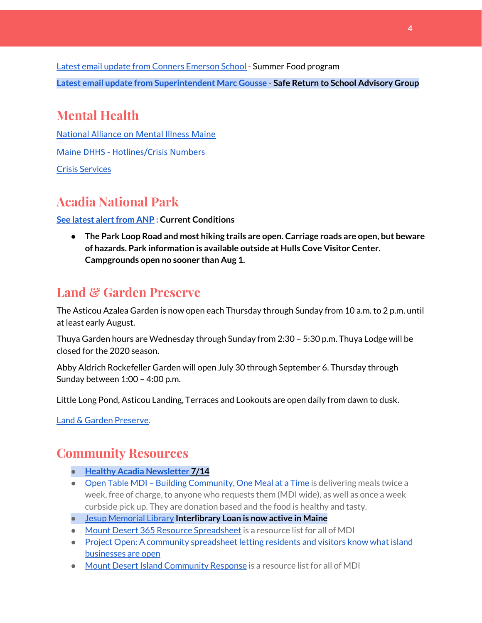Latest email update from Conners [Emerson](https://docs.google.com/document/d/1v3pgkG6Q-9S3gisuUIj4etPVDwgBKl4P00JBkvZr-kk/edit?usp=sharing) School - Summer Food program **Latest email update from [Superintendent](https://docs.google.com/document/d/1fzeCbc8gpTSKmUaDoQH1Avx5PVl-h0reFphXrT1eUNA/edit?usp=sharing) Marc Gousse - Safe Return to School Advisory Group**

# **Mental Health**

[National Alliance on Mental Illness Maine](https://www.namimaine.org/) [Maine DHHS - Hotlines/Crisis Numbers](https://www.maine.gov/dhhs/hotlines.shtml) Crisis [Services](https://www.sweetser.org/programs-services/services-for-adults/crisis-services/)

# **Acadia National Park**

#### **See latest [alertfrom](https://www.nps.gov/acad/planyourvisit/conditions.htm) ANP : Current Conditions**

**● The Park Loop Road and most hiking trails are open. Carriage roads are open, but beware of hazards. Park information is available outside at Hulls Cove Visitor Center. Campgrounds open no sooner than Aug 1.**

## **Land & Garden Preserve**

The Asticou Azalea Garden is now open each Thursday through Sunday from 10 a.m. to 2 p.m. until at least early August.

Thuya Garden hours are Wednesday through Sunday from 2:30 – 5:30 p.m. Thuya Lodge will be closed for the 2020 season.

Abby Aldrich Rockefeller Garden will open July 30 through September 6. Thursday through Sunday between 1:00 – 4:00 p.m.

Little Long Pond, Asticou Landing, Terraces and Lookouts are open daily from dawn to dusk.

Land & Garden [Preserve.](https://www.gardenpreserve.org/)

# **Community Resources**

- **● Healthy Acadia [Newsletter](https://mailchi.mp/healthyacadia.org/july14_2020?e=e6ccd2569f) [7](https://mailchi.mp/healthyacadia.org/july14_2020?e=e6ccd2569f)/14**
- Open Table MDI Building [Community,](https://www.opentablemdi.org/) One Meal at a Time is delivering meals twice a week, free of charge, to anyone who requests them (MDI wide), as well as once a week curbside pick up. They are donation based and the food is healthy and tasty.
- Jesup [Memorial](https://jesuplibrary.org/) Library **Interlibrary Loan is now active in Maine**
- Mount Desert 365 Resource [Spreadsheet](https://docs.google.com/spreadsheets/d/1okAx6HSsgXZY9CGH07Dzi6rqe7a6m4dLCPKot2Li7Ek/edit?usp=sharing) is a resource list for all of MDI
- Project Open: A community [spreadsheet](https://docs.google.com/spreadsheets/d/1dBicBiBXGzzWEFd9oqL7EBDbFWjDCPl6SSMea_Kt4pc/htmlview#) letting residents and visitors know what island [businesses](https://docs.google.com/spreadsheets/d/1dBicBiBXGzzWEFd9oqL7EBDbFWjDCPl6SSMea_Kt4pc/htmlview#) are open
- Mount Desert Island [Community](https://www.mdicr.org/) Response is a resource list for all of MDI